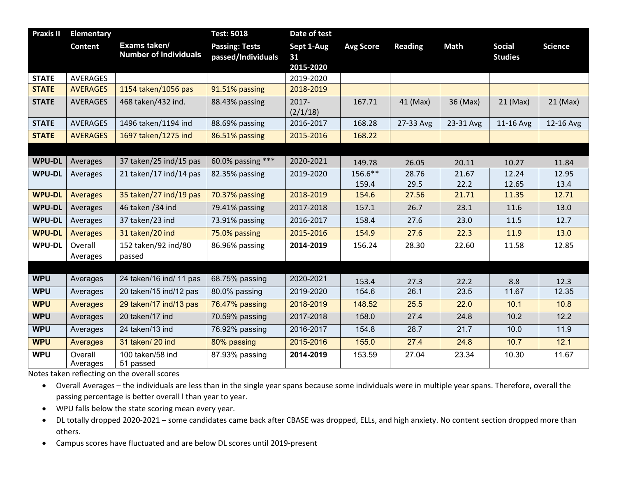| <b>Praxis II</b> | <b>Elementary</b>   |                                              | <b>Test: 5018</b>                           | Date of test      |                  |                |             |                                 |                |
|------------------|---------------------|----------------------------------------------|---------------------------------------------|-------------------|------------------|----------------|-------------|---------------------------------|----------------|
|                  | <b>Content</b>      | Exams taken/<br><b>Number of Individuals</b> | <b>Passing: Tests</b><br>passed/Individuals | Sept 1-Aug<br>31  | <b>Avg Score</b> | <b>Reading</b> | <b>Math</b> | <b>Social</b><br><b>Studies</b> | <b>Science</b> |
|                  |                     |                                              |                                             | 2015-2020         |                  |                |             |                                 |                |
| <b>STATE</b>     | <b>AVERAGES</b>     |                                              |                                             | 2019-2020         |                  |                |             |                                 |                |
| <b>STATE</b>     | <b>AVERAGES</b>     | 1154 taken/1056 pas                          | 91.51% passing                              | 2018-2019         |                  |                |             |                                 |                |
| <b>STATE</b>     | <b>AVERAGES</b>     | 468 taken/432 ind.                           | 88.43% passing                              | 2017-<br>(2/1/18) | 167.71           | 41 (Max)       | 36 (Max)    | 21 (Max)                        | $21$ (Max)     |
| <b>STATE</b>     | AVERAGES            | 1496 taken/1194 ind                          | 88.69% passing                              | 2016-2017         | 168.28           | 27-33 Avg      | 23-31 Avg   | 11-16 Avg                       | 12-16 Avg      |
| <b>STATE</b>     | <b>AVERAGES</b>     | 1697 taken/1275 ind                          | 86.51% passing                              | 2015-2016         | 168.22           |                |             |                                 |                |
|                  |                     |                                              |                                             |                   |                  |                |             |                                 |                |
| <b>WPU-DL</b>    | Averages            | 37 taken/25 ind/15 pas                       | 60.0% passing ***                           | 2020-2021         | 149.78           | 26.05          | 20.11       | 10.27                           | 11.84          |
| <b>WPU-DL</b>    | Averages            | 21 taken/17 ind/14 pas                       | 82.35% passing                              | 2019-2020         | 156.6**          | 28.76          | 21.67       | 12.24                           | 12.95          |
|                  |                     |                                              |                                             |                   | 159.4            | 29.5           | 22.2        | 12.65                           | 13.4           |
| <b>WPU-DL</b>    | Averages            | 35 taken/27 ind/19 pas                       | 70.37% passing                              | 2018-2019         | 154.6            | 27.56          | 21.71       | 11.35                           | 12.71          |
| <b>WPU-DL</b>    | Averages            | 46 taken / 34 ind                            | 79.41% passing                              | 2017-2018         | 157.1            | 26.7           | 23.1        | 11.6                            | 13.0           |
| <b>WPU-DL</b>    | Averages            | 37 taken/23 ind                              | 73.91% passing                              | 2016-2017         | 158.4            | 27.6           | 23.0        | 11.5                            | 12.7           |
| <b>WPU-DL</b>    | <b>Averages</b>     | 31 taken/20 ind                              | 75.0% passing                               | 2015-2016         | 154.9            | 27.6           | 22.3        | 11.9                            | 13.0           |
| <b>WPU-DL</b>    | Overall             | 152 taken/92 ind/80                          | 86.96% passing                              | 2014-2019         | 156.24           | 28.30          | 22.60       | 11.58                           | 12.85          |
|                  | Averages            | passed                                       |                                             |                   |                  |                |             |                                 |                |
|                  |                     |                                              |                                             |                   |                  |                |             |                                 |                |
| <b>WPU</b>       | Averages            | 24 taken/16 ind/ 11 pas                      | 68.75% passing                              | 2020-2021         | 153.4            | 27.3           | 22.2        | 8.8                             | 12.3           |
| <b>WPU</b>       | Averages            | 20 taken/15 ind/12 pas                       | 80.0% passing                               | 2019-2020         | 154.6            | 26.1           | 23.5        | 11.67                           | 12.35          |
| <b>WPU</b>       | Averages            | 29 taken/17 ind/13 pas                       | 76.47% passing                              | 2018-2019         | 148.52           | 25.5           | 22.0        | 10.1                            | 10.8           |
| <b>WPU</b>       | Averages            | 20 taken/17 ind                              | 70.59% passing                              | 2017-2018         | 158.0            | 27.4           | 24.8        | 10.2                            | 12.2           |
| <b>WPU</b>       | Averages            | 24 taken/13 ind                              | 76.92% passing                              | 2016-2017         | 154.8            | 28.7           | 21.7        | 10.0                            | 11.9           |
| <b>WPU</b>       | Averages            | 31 taken/20 ind                              | 80% passing                                 | 2015-2016         | 155.0            | 27.4           | 24.8        | 10.7                            | 12.1           |
| <b>WPU</b>       | Overall<br>Averages | 100 taken/58 ind<br>51 passed                | 87.93% passing                              | 2014-2019         | 153.59           | 27.04          | 23.34       | 10.30                           | 11.67          |

Notes taken reflecting on the overall scores

• Overall Averages – the individuals are less than in the single year spans because some individuals were in multiple year spans. Therefore, overall the passing percentage is better overall l than year to year.

- WPU falls below the state scoring mean every year.
- DL totally dropped 2020-2021 some candidates came back after CBASE was dropped, ELLs, and high anxiety. No content section dropped more than others.
- Campus scores have fluctuated and are below DL scores until 2019-present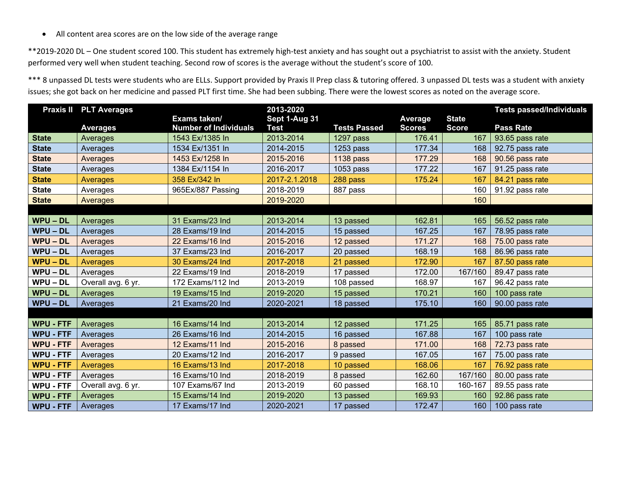• All content area scores are on the low side of the average range

\*\*2019-2020 DL – One student scored 100. This student has extremely high-test anxiety and has sought out a psychiatrist to assist with the anxiety. Student performed very well when student teaching. Second row of scores is the average without the student's score of 100.

\*\*\* 8 unpassed DL tests were students who are ELLs. Support provided by Praxis II Prep class & tutoring offered. 3 unpassed DL tests was a student with anxiety issues; she got back on her medicine and passed PLT first time. She had been subbing. There were the lowest scores as noted on the average score.

| <b>Praxis II</b> | <b>PLT Averages</b> |                              | 2013-2020     |                     |                | <b>Tests passed/Individuals</b> |                  |
|------------------|---------------------|------------------------------|---------------|---------------------|----------------|---------------------------------|------------------|
|                  |                     | Exams taken/                 | Sept 1-Aug 31 |                     | <b>Average</b> | <b>State</b>                    |                  |
|                  | <b>Averages</b>     | <b>Number of Individuals</b> | <b>Test</b>   | <b>Tests Passed</b> | <b>Scores</b>  | <b>Score</b>                    | <b>Pass Rate</b> |
| <b>State</b>     | Averages            | 1543 Ex/1385 In              | 2013-2014     | 1297 pass           | 176.41         | 167                             | 93.65 pass rate  |
| <b>State</b>     | Averages            | 1534 Ex/1351 In              | 2014-2015     | $1253$ pass         | 177.34         | 168                             | 92.75 pass rate  |
| <b>State</b>     | Averages            | 1453 Ex/1258 In              | 2015-2016     | <b>1138 pass</b>    | 177.29         | 168                             | 90.56 pass rate  |
| <b>State</b>     | Averages            | 1384 Ex/1154 In              | 2016-2017     | $1053$ pass         | 177.22         | 167                             | 91.25 pass rate  |
| <b>State</b>     | Averages            | 358 Ex/342 In                | 2017-2.1.2018 | 288 pass            | 175.24         | 167                             | 84.21 pass rate  |
| <b>State</b>     | Averages            | 965Ex/887 Passing            | 2018-2019     | 887 pass            |                | 160                             | 91.92 pass rate  |
| <b>State</b>     | <b>Averages</b>     |                              | 2019-2020     |                     |                | 160                             |                  |
|                  |                     |                              |               |                     |                |                                 |                  |
| <b>WPU - DL</b>  | Averages            | 31 Exams/23 Ind              | 2013-2014     | 13 passed           | 162.81         | 165                             | 56.52 pass rate  |
| <b>WPU-DL</b>    | Averages            | 28 Exams/19 Ind              | 2014-2015     | 15 passed           | 167.25         | 167                             | 78.95 pass rate  |
| <b>WPU-DL</b>    | Averages            | 22 Exams/16 Ind              | 2015-2016     | 12 passed           | 171.27         | 168                             | 75.00 pass rate  |
| WPU-DL           | Averages            | 37 Exams/23 Ind              | 2016-2017     | 20 passed           | 168.19         | 168                             | 86.96 pass rate  |
| $WPU - DL$       | Averages            | 30 Exams/24 Ind              | 2017-2018     | 21 passed           | 172.90         | 167                             | 87.50 pass rate  |
| $WPU - DL$       | Averages            | 22 Exams/19 Ind              | 2018-2019     | 17 passed           | 172.00         | 167/160                         | 89.47 pass rate  |
| $WPU - DL$       | Overall avg. 6 yr.  | 172 Exams/112 Ind            | 2013-2019     | 108 passed          | 168.97         | 167                             | 96.42 pass rate  |
| <b>WPU-DL</b>    | Averages            | 19 Exams/15 Ind              | 2019-2020     | 15 passed           | 170.21         | 160                             | 100 pass rate    |
| $WPU - DL$       | Averages            | 21 Exams/20 Ind              | 2020-2021     | 18 passed           | 175.10         | 160                             | 90.00 pass rate  |
|                  |                     |                              |               |                     |                |                                 |                  |
| <b>WPU - FTF</b> | Averages            | 16 Exams/14 Ind              | 2013-2014     | 12 passed           | 171.25         | 165                             | 85.71 pass rate  |
| <b>WPU - FTF</b> | Averages            | 26 Exams/16 Ind              | 2014-2015     | 16 passed           | 167.88         | 167                             | 100 pass rate    |
| <b>WPU - FTF</b> | Averages            | 12 Exams/11 Ind              | 2015-2016     | 8 passed            | 171.00         | 168                             | 72.73 pass rate  |
| <b>WPU - FTF</b> | Averages            | 20 Exams/12 Ind              | 2016-2017     | 9 passed            | 167.05         | 167                             | 75.00 pass rate  |
| <b>WPU - FTF</b> | <b>Averages</b>     | 16 Exams/13 Ind              | 2017-2018     | 10 passed           | 168.06         | 167                             | 76.92 pass rate  |
| <b>WPU - FTF</b> | Averages            | 16 Exams/10 Ind              | 2018-2019     | 8 passed            | 162.60         | 167/160                         | 80.00 pass rate  |
| <b>WPU - FTF</b> | Overall avg. 6 yr.  | 107 Exams/67 Ind             | 2013-2019     | 60 passed           | 168.10         | 160-167                         | 89.55 pass rate  |
| <b>WPU - FTF</b> | Averages            | 15 Exams/14 Ind              | 2019-2020     | 13 passed           | 169.93         | 160                             | 92.86 pass rate  |
| <b>WPU - FTF</b> | Averages            | 17 Exams/17 Ind              | 2020-2021     | 17 passed           | 172.47         | 160                             | 100 pass rate    |